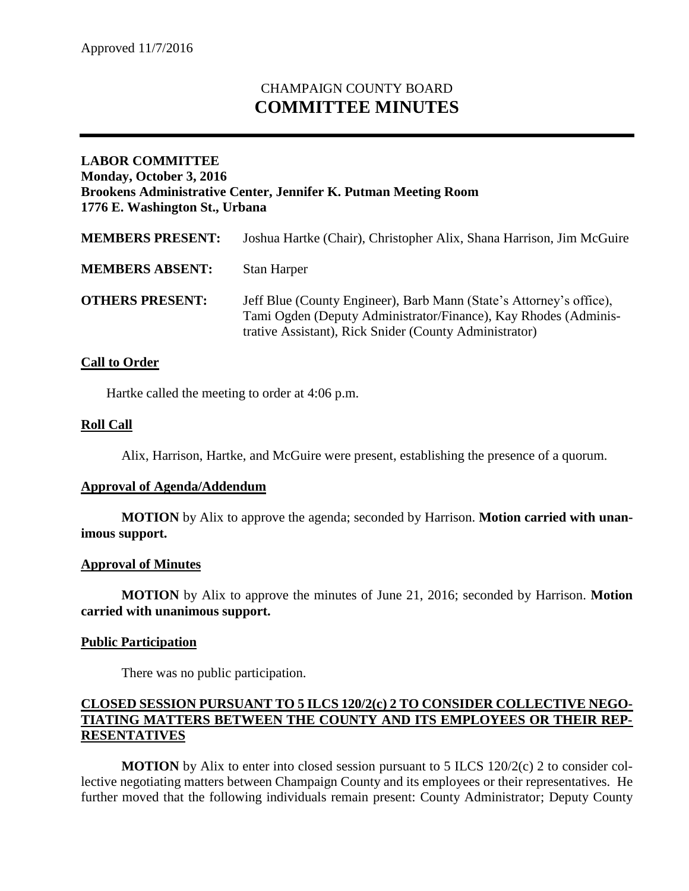# CHAMPAIGN COUNTY BOARD **COMMITTEE MINUTES**

# **LABOR COMMITTEE Monday, October 3, 2016 Brookens Administrative Center, Jennifer K. Putman Meeting Room 1776 E. Washington St., Urbana**

| <b>MEMBERS PRESENT:</b> | Joshua Hartke (Chair), Christopher Alix, Shana Harrison, Jim McGuire                                                                                                                             |
|-------------------------|--------------------------------------------------------------------------------------------------------------------------------------------------------------------------------------------------|
| <b>MEMBERS ABSENT:</b>  | Stan Harper                                                                                                                                                                                      |
| <b>OTHERS PRESENT:</b>  | Jeff Blue (County Engineer), Barb Mann (State's Attorney's office),<br>Tami Ogden (Deputy Administrator/Finance), Kay Rhodes (Adminis-<br>trative Assistant), Rick Snider (County Administrator) |

# **Call to Order**

Hartke called the meeting to order at 4:06 p.m.

# **Roll Call**

Alix, Harrison, Hartke, and McGuire were present, establishing the presence of a quorum.

#### **Approval of Agenda/Addendum**

**MOTION** by Alix to approve the agenda; seconded by Harrison. **Motion carried with unanimous support.**

#### **Approval of Minutes**

**MOTION** by Alix to approve the minutes of June 21, 2016; seconded by Harrison. **Motion carried with unanimous support.**

#### **Public Participation**

There was no public participation.

# **CLOSED SESSION PURSUANT TO 5 ILCS 120/2(c) 2 TO CONSIDER COLLECTIVE NEGO-TIATING MATTERS BETWEEN THE COUNTY AND ITS EMPLOYEES OR THEIR REP-RESENTATIVES**

**MOTION** by Alix to enter into closed session pursuant to 5 ILCS 120/2(c) 2 to consider collective negotiating matters between Champaign County and its employees or their representatives. He further moved that the following individuals remain present: County Administrator; Deputy County